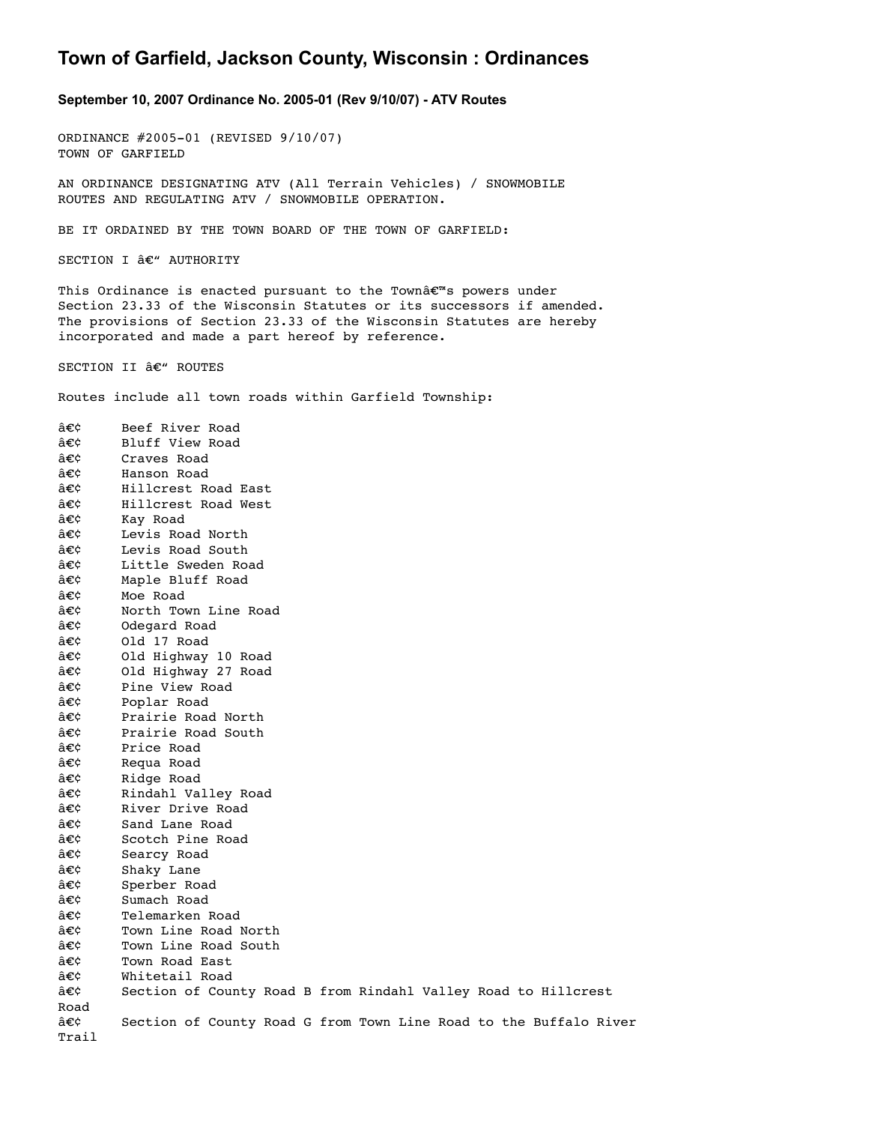## **Town of Garfield, Jackson County, Wisconsin : Ordinances**

**September 10, 2007 Ordinance No. 200501 (Rev 9/10/07) ATV Routes**

ORDINANCE #2005-01 (REVISED 9/10/07) TOWN OF GARFIELD

AN ORDINANCE DESIGNATING ATV (All Terrain Vehicles) / SNOWMOBILE ROUTES AND REGULATING ATV / SNOWMOBILE OPERATION.

BE IT ORDAINED BY THE TOWN BOARD OF THE TOWN OF GARFIELD:

SECTION I  $\hat{a}\in$ " AUTHORITY

This Ordinance is enacted pursuant to the Towna $\varepsilon^{m}$ s powers under Section 23.33 of the Wisconsin Statutes or its successors if amended. The provisions of Section 23.33 of the Wisconsin Statutes are hereby incorporated and made a part hereof by reference.

SECTION II  $\hat{a}\in$ " ROUTES

Routes include all town roads within Garfield Township:

• Beef River Road • Bluff View Road • Craves Road • Hanson Road • Hillcrest Road East • Hillcrest Road West • Kay Road • Levis Road North  $\hat{a}\in\zeta$  Levis Road South  $\hat{a}\in\hat{c}$  Little Sweden Road • Maple Bluff Road • Moe Road • North Town Line Road  $\hat{a}\epsilon\hat{c}$  Odegard Road  $\hat{a}\in\hat{c}$  0ld 17 Road • Old Highway 10 Road • Old Highway 27 Road • Pine View Road • Poplar Road • Prairie Road North • Prairie Road South • Price Road • Requa Road  $\hat{a}\in\hat{c}$  Ridge Road • Rindahl Valley Road • River Drive Road • Sand Lane Road • Scotch Pine Road • Searcy Road • Shaky Lane • Sperber Road • Sumach Road • Telemarken Road • Town Line Road North • Town Line Road South • Town Road East • Whitetail Road • Section of County Road B from Rindahl Valley Road to Hillcrest Road  $\hat{a}\in\mathcal{C}$  Section of County Road G from Town Line Road to the Buffalo River Trail